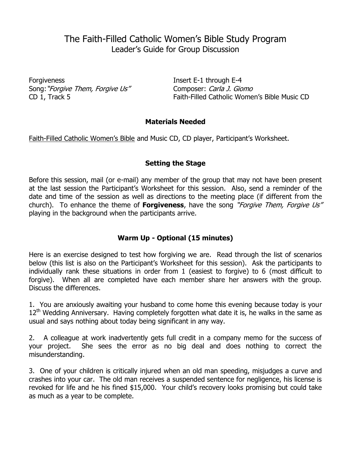# The Faith-Filled Catholic Women's Bible Study Program Leader's Guide for Group Discussion

Forgiveness Insert E-1 through E-4 Song: "Forgive Them, Forgive Us" Composer: Carla J. Giomo

CD 1, Track 5 Faith-Filled Catholic Women's Bible Music CD

### **Materials Needed**

Faith-Filled Catholic Women's Bible and Music CD, CD player, Participant's Worksheet.

### **Setting the Stage**

Before this session, mail (or e-mail) any member of the group that may not have been present at the last session the Participant's Worksheet for this session. Also, send a reminder of the date and time of the session as well as directions to the meeting place (if different from the church). To enhance the theme of **Forgiveness**, have the song "Forgive Them, Forgive Us" playing in the background when the participants arrive.

### **Warm Up - Optional (15 minutes)**

Here is an exercise designed to test how forgiving we are. Read through the list of scenarios below (this list is also on the Participant's Worksheet for this session). Ask the participants to individually rank these situations in order from 1 (easiest to forgive) to 6 (most difficult to forgive). When all are completed have each member share her answers with the group. Discuss the differences.

1. You are anxiously awaiting your husband to come home this evening because today is your  $12<sup>th</sup>$  Wedding Anniversary. Having completely forgotten what date it is, he walks in the same as usual and says nothing about today being significant in any way.

2. A colleague at work inadvertently gets full credit in a company memo for the success of your project. She sees the error as no big deal and does nothing to correct the misunderstanding.

3. One of your children is critically injured when an old man speeding, misjudges a curve and crashes into your car. The old man receives a suspended sentence for negligence, his license is revoked for life and he his fined \$15,000. Your child's recovery looks promising but could take as much as a year to be complete.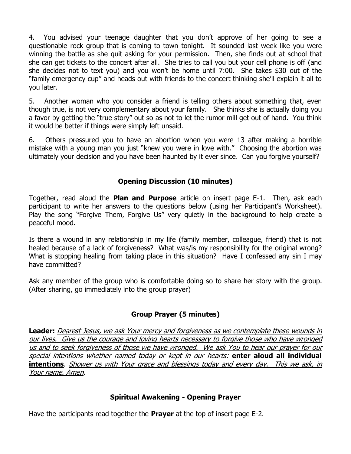4. You advised your teenage daughter that you don't approve of her going to see a questionable rock group that is coming to town tonight. It sounded last week like you were winning the battle as she quit asking for your permission. Then, she finds out at school that she can get tickets to the concert after all. She tries to call you but your cell phone is off (and she decides not to text you) and you won't be home until 7:00. She takes \$30 out of the "family emergency cup" and heads out with friends to the concert thinking she'll explain it all to you later.

5. Another woman who you consider a friend is telling others about something that, even though true, is not very complementary about your family. She thinks she is actually doing you a favor by getting the "true story" out so as not to let the rumor mill get out of hand. You think it would be better if things were simply left unsaid.

6. Others pressured you to have an abortion when you were 13 after making a horrible mistake with a young man you just "knew you were in love with." Choosing the abortion was ultimately your decision and you have been haunted by it ever since. Can you forgive yourself?

### **Opening Discussion (10 minutes)**

Together, read aloud the **Plan and Purpose** article on insert page E-1. Then, ask each participant to write her answers to the questions below (using her Participant's Worksheet). Play the song "Forgive Them, Forgive Us" very quietly in the background to help create a peaceful mood.

Is there a wound in any relationship in my life (family member, colleague, friend) that is not healed because of a lack of forgiveness? What was/is my responsibility for the original wrong? What is stopping healing from taking place in this situation? Have I confessed any sin I may have committed?

Ask any member of the group who is comfortable doing so to share her story with the group. (After sharing, go immediately into the group prayer)

## **Group Prayer (5 minutes)**

Leader: **Dearest Jesus, we ask Your mercy and forgiveness as we contemplate these wounds in** our lives. Give us the courage and loving hearts necessary to forgive those who have wronged us and to seek forgiveness of those we have wronged. We ask You to hear our prayer for our special intentions whether named today or kept in our hearts: **enter aloud all individual intentions**. Shower us with Your grace and blessings today and every day. This we ask, in Your name. Amen.

### **Spiritual Awakening - Opening Prayer**

Have the participants read together the **Prayer** at the top of insert page E-2.